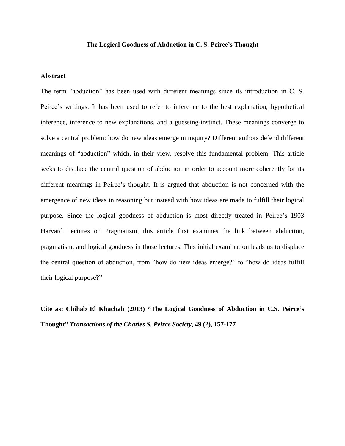#### **The Logical Goodness of Abduction in C. S. Peirce's Thought**

### **Abstract**

The term "abduction" has been used with different meanings since its introduction in C. S. Peirce's writings. It has been used to refer to inference to the best explanation, hypothetical inference, inference to new explanations, and a guessing-instinct. These meanings converge to solve a central problem: how do new ideas emerge in inquiry? Different authors defend different meanings of "abduction" which, in their view, resolve this fundamental problem. This article seeks to displace the central question of abduction in order to account more coherently for its different meanings in Peirce's thought. It is argued that abduction is not concerned with the emergence of new ideas in reasoning but instead with how ideas are made to fulfill their logical purpose. Since the logical goodness of abduction is most directly treated in Peirce's 1903 Harvard Lectures on Pragmatism, this article first examines the link between abduction, pragmatism, and logical goodness in those lectures. This initial examination leads us to displace the central question of abduction, from "how do new ideas emerge?" to "how do ideas fulfill their logical purpose?"

**Cite as: Chihab El Khachab (2013) "The Logical Goodness of Abduction in C.S. Peirce's Thought"** *Transactions of the Charles S. Peirce Society***, 49 (2), 157-177**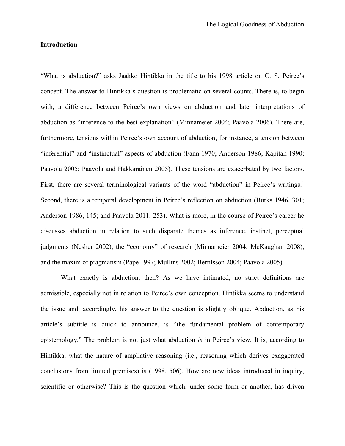# **Introduction**

"What is abduction?" asks Jaakko Hintikka in the title to his 1998 article on C. S. Peirce's concept. The answer to Hintikka's question is problematic on several counts. There is, to begin with, a difference between Peirce's own views on abduction and later interpretations of abduction as "inference to the best explanation" (Minnameier 2004; Paavola 2006). There are, furthermore, tensions within Peirce's own account of abduction, for instance, a tension between "inferential" and "instinctual" aspects of abduction (Fann 1970; Anderson 1986; Kapitan 1990; Paavola 2005; Paavola and Hakkarainen 2005). These tensions are exacerbated by two factors. First, there are several terminological variants of the word "abduction" in Peirce's writings.<sup>1</sup> Second, there is a temporal development in Peirce's reflection on abduction (Burks 1946, 301; Anderson 1986, 145; and Paavola 2011, 253). What is more, in the course of Peirce's career he discusses abduction in relation to such disparate themes as inference, instinct, perceptual judgments (Nesher 2002), the "economy" of research (Minnameier 2004; McKaughan 2008), and the maxim of pragmatism (Pape 1997; Mullins 2002; Bertilsson 2004; Paavola 2005).

What exactly is abduction, then? As we have intimated, no strict definitions are admissible, especially not in relation to Peirce's own conception. Hintikka seems to understand the issue and, accordingly, his answer to the question is slightly oblique. Abduction, as his article's subtitle is quick to announce, is "the fundamental problem of contemporary epistemology." The problem is not just what abduction *is* in Peirce's view. It is, according to Hintikka, what the nature of ampliative reasoning (i.e., reasoning which derives exaggerated conclusions from limited premises) is (1998, 506). How are new ideas introduced in inquiry, scientific or otherwise? This is the question which, under some form or another, has driven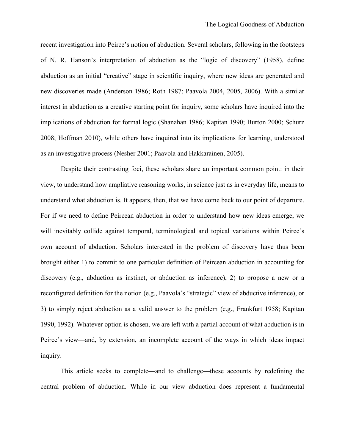recent investigation into Peirce's notion of abduction. Several scholars, following in the footsteps of N. R. Hanson's interpretation of abduction as the "logic of discovery" (1958), define abduction as an initial "creative" stage in scientific inquiry, where new ideas are generated and new discoveries made (Anderson 1986; Roth 1987; Paavola 2004, 2005, 2006). With a similar interest in abduction as a creative starting point for inquiry, some scholars have inquired into the implications of abduction for formal logic (Shanahan 1986; Kapitan 1990; Burton 2000; Schurz 2008; Hoffman 2010), while others have inquired into its implications for learning, understood as an investigative process (Nesher 2001; Paavola and Hakkarainen, 2005).

Despite their contrasting foci, these scholars share an important common point: in their view, to understand how ampliative reasoning works, in science just as in everyday life, means to understand what abduction is. It appears, then, that we have come back to our point of departure. For if we need to define Peircean abduction in order to understand how new ideas emerge, we will inevitably collide against temporal, terminological and topical variations within Peirce's own account of abduction. Scholars interested in the problem of discovery have thus been brought either 1) to commit to one particular definition of Peircean abduction in accounting for discovery (e.g., abduction as instinct, or abduction as inference), 2) to propose a new or a reconfigured definition for the notion (e.g., Paavola's "strategic" view of abductive inference), or 3) to simply reject abduction as a valid answer to the problem (e.g., Frankfurt 1958; Kapitan 1990, 1992). Whatever option is chosen, we are left with a partial account of what abduction is in Peirce's view—and, by extension, an incomplete account of the ways in which ideas impact inquiry.

This article seeks to complete—and to challenge—these accounts by redefining the central problem of abduction. While in our view abduction does represent a fundamental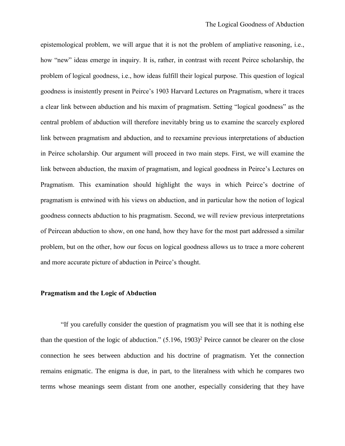epistemological problem, we will argue that it is not the problem of ampliative reasoning, i.e., how "new" ideas emerge in inquiry. It is, rather, in contrast with recent Peirce scholarship, the problem of logical goodness, i.e., how ideas fulfill their logical purpose. This question of logical goodness is insistently present in Peirce's 1903 Harvard Lectures on Pragmatism, where it traces a clear link between abduction and his maxim of pragmatism. Setting "logical goodness" as the central problem of abduction will therefore inevitably bring us to examine the scarcely explored link between pragmatism and abduction, and to reexamine previous interpretations of abduction in Peirce scholarship. Our argument will proceed in two main steps. First, we will examine the link between abduction, the maxim of pragmatism, and logical goodness in Peirce's Lectures on Pragmatism. This examination should highlight the ways in which Peirce's doctrine of pragmatism is entwined with his views on abduction, and in particular how the notion of logical goodness connects abduction to his pragmatism. Second, we will review previous interpretations of Peircean abduction to show, on one hand, how they have for the most part addressed a similar problem, but on the other, how our focus on logical goodness allows us to trace a more coherent and more accurate picture of abduction in Peirce's thought.

# **Pragmatism and the Logic of Abduction**

"If you carefully consider the question of pragmatism you will see that it is nothing else than the question of the logic of abduction." (5.196, 1903) <sup>2</sup> Peirce cannot be clearer on the close connection he sees between abduction and his doctrine of pragmatism. Yet the connection remains enigmatic. The enigma is due, in part, to the literalness with which he compares two terms whose meanings seem distant from one another, especially considering that they have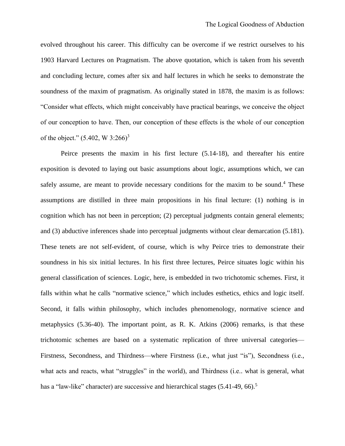evolved throughout his career. This difficulty can be overcome if we restrict ourselves to his 1903 Harvard Lectures on Pragmatism. The above quotation, which is taken from his seventh and concluding lecture, comes after six and half lectures in which he seeks to demonstrate the soundness of the maxim of pragmatism. As originally stated in 1878, the maxim is as follows: "Consider what effects, which might conceivably have practical bearings, we conceive the object of our conception to have. Then, our conception of these effects is the whole of our conception of the object."  $(5.402, W 3:266)^3$ 

Peirce presents the maxim in his first lecture (5.14-18), and thereafter his entire exposition is devoted to laying out basic assumptions about logic, assumptions which, we can safely assume, are meant to provide necessary conditions for the maxim to be sound.<sup>4</sup> These assumptions are distilled in three main propositions in his final lecture: (1) nothing is in cognition which has not been in perception; (2) perceptual judgments contain general elements; and (3) abductive inferences shade into perceptual judgments without clear demarcation (5.181). These tenets are not self-evident, of course, which is why Peirce tries to demonstrate their soundness in his six initial lectures. In his first three lectures, Peirce situates logic within his general classification of sciences. Logic, here, is embedded in two trichotomic schemes. First, it falls within what he calls "normative science," which includes esthetics, ethics and logic itself. Second, it falls within philosophy, which includes phenomenology, normative science and metaphysics (5.36-40). The important point, as R. K. Atkins (2006) remarks, is that these trichotomic schemes are based on a systematic replication of three universal categories— Firstness, Secondness, and Thirdness—where Firstness (i.e., what just "is"), Secondness (i.e., what acts and reacts, what "struggles" in the world), and Thirdness (i.e.. what is general, what has a "law-like" character) are successive and hierarchical stages (5.41-49, 66).<sup>5</sup>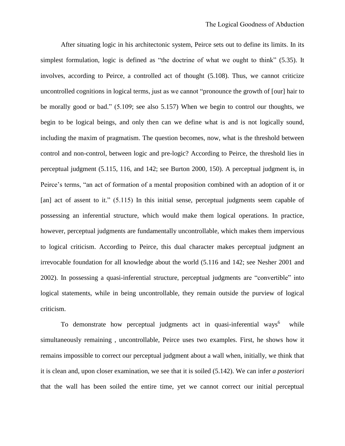After situating logic in his architectonic system, Peirce sets out to define its limits. In its simplest formulation, logic is defined as "the doctrine of what we ought to think" (5.35). It involves, according to Peirce, a controlled act of thought (5.108). Thus, we cannot criticize uncontrolled cognitions in logical terms, just as we cannot "pronounce the growth of [our] hair to be morally good or bad." (5.109; see also 5.157) When we begin to control our thoughts, we begin to be logical beings, and only then can we define what is and is not logically sound, including the maxim of pragmatism. The question becomes, now, what is the threshold between control and non-control, between logic and pre-logic? According to Peirce, the threshold lies in perceptual judgment (5.115, 116, and 142; see Burton 2000, 150). A perceptual judgment is, in Peirce's terms, "an act of formation of a mental proposition combined with an adoption of it or [an] act of assent to it." (5.115) In this initial sense, perceptual judgments seem capable of possessing an inferential structure, which would make them logical operations. In practice, however, perceptual judgments are fundamentally uncontrollable, which makes them impervious to logical criticism. According to Peirce, this dual character makes perceptual judgment an irrevocable foundation for all knowledge about the world (5.116 and 142; see Nesher 2001 and 2002). In possessing a quasi-inferential structure, perceptual judgments are "convertible" into logical statements, while in being uncontrollable, they remain outside the purview of logical criticism.

To demonstrate how perceptual judgments act in quasi-inferential ways<sup>6</sup> while simultaneously remaining , uncontrollable, Peirce uses two examples. First, he shows how it remains impossible to correct our perceptual judgment about a wall when, initially, we think that it is clean and, upon closer examination, we see that it is soiled (5.142). We can infer *a posteriori* that the wall has been soiled the entire time, yet we cannot correct our initial perceptual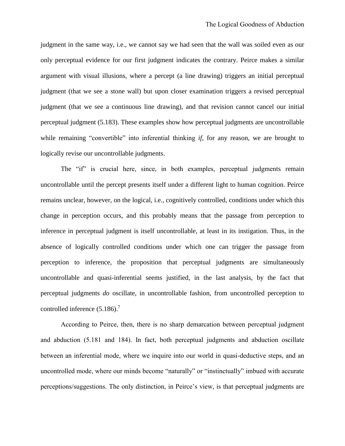judgment in the same way, i.e., we cannot say we had seen that the wall was soiled even as our only perceptual evidence for our first judgment indicates the contrary. Peirce makes a similar argument with visual illusions, where a percept (a line drawing) triggers an initial perceptual judgment (that we see a stone wall) but upon closer examination triggers a revised perceptual judgment (that we see a continuous line drawing), and that revision cannot cancel our initial perceptual judgment (5.183). These examples show how perceptual judgments are uncontrollable while remaining "convertible" into inferential thinking *if*, for any reason, we are brought to logically revise our uncontrollable judgments.

The "if" is crucial here, since, in both examples, perceptual judgments remain uncontrollable until the percept presents itself under a different light to human cognition. Peirce remains unclear, however, on the logical, i.e., cognitively controlled, conditions under which this change in perception occurs, and this probably means that the passage from perception to inference in perceptual judgment is itself uncontrollable, at least in its instigation. Thus, in the absence of logically controlled conditions under which one can trigger the passage from perception to inference, the proposition that perceptual judgments are simultaneously uncontrollable and quasi-inferential seems justified, in the last analysis, by the fact that perceptual judgments *do* oscillate, in uncontrollable fashion, from uncontrolled perception to controlled inference (5.186). 7

According to Peirce, then, there is no sharp demarcation between perceptual judgment and abduction (5.181 and 184). In fact, both perceptual judgments and abduction oscillate between an inferential mode, where we inquire into our world in quasi-deductive steps, and an uncontrolled mode, where our minds become "naturally" or "instinctually" imbued with accurate perceptions/suggestions. The only distinction, in Peirce's view, is that perceptual judgments are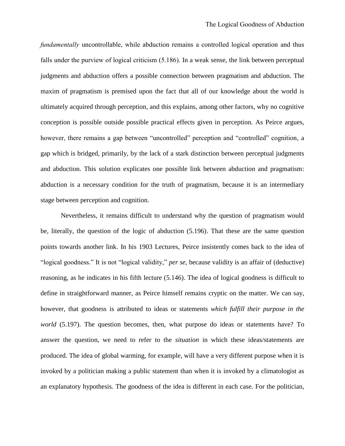*fundamentally* uncontrollable, while abduction remains a controlled logical operation and thus falls under the purview of logical criticism (5.186). In a weak sense, the link between perceptual judgments and abduction offers a possible connection between pragmatism and abduction. The maxim of pragmatism is premised upon the fact that all of our knowledge about the world is ultimately acquired through perception, and this explains, among other factors, why no cognitive conception is possible outside possible practical effects given in perception. As Peirce argues, however, there remains a gap between "uncontrolled" perception and "controlled" cognition, a gap which is bridged, primarily, by the lack of a stark distinction between perceptual judgments and abduction. This solution explicates one possible link between abduction and pragmatism: abduction is a necessary condition for the truth of pragmatism, because it is an intermediary stage between perception and cognition.

Nevertheless, it remains difficult to understand why the question of pragmatism would be, literally, the question of the logic of abduction (5.196). That these are the same question points towards another link. In his 1903 Lectures, Peirce insistently comes back to the idea of "logical goodness." It is not "logical validity," *per se*, because validity is an affair of (deductive) reasoning, as he indicates in his fifth lecture (5.146). The idea of logical goodness is difficult to define in straightforward manner, as Peirce himself remains cryptic on the matter. We can say, however, that goodness is attributed to ideas or statements *which fulfill their purpose in the world* (5.197). The question becomes, then, what purpose do ideas or statements have? To answer the question, we need to refer to the *situation* in which these ideas/statements are produced. The idea of global warming, for example, will have a very different purpose when it is invoked by a politician making a public statement than when it is invoked by a climatologist as an explanatory hypothesis. The goodness of the idea is different in each case. For the politician,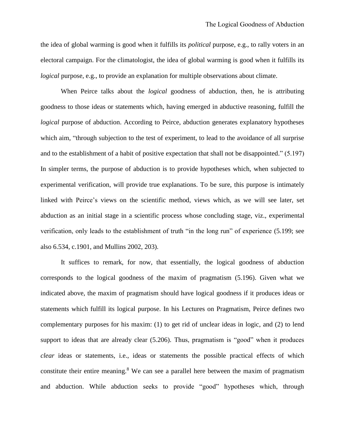the idea of global warming is good when it fulfills its *political* purpose, e.g., to rally voters in an electoral campaign. For the climatologist, the idea of global warming is good when it fulfills its *logical* purpose, e.g., to provide an explanation for multiple observations about climate.

When Peirce talks about the *logical* goodness of abduction, then, he is attributing goodness to those ideas or statements which, having emerged in abductive reasoning, fulfill the *logical* purpose of abduction. According to Peirce, abduction generates explanatory hypotheses which aim, "through subjection to the test of experiment, to lead to the avoidance of all surprise and to the establishment of a habit of positive expectation that shall not be disappointed." (5.197) In simpler terms, the purpose of abduction is to provide hypotheses which, when subjected to experimental verification, will provide true explanations. To be sure, this purpose is intimately linked with Peirce's views on the scientific method, views which, as we will see later, set abduction as an initial stage in a scientific process whose concluding stage, viz., experimental verification, only leads to the establishment of truth "in the long run" of experience (5.199; see also 6.534, c.1901, and Mullins 2002, 203).

It suffices to remark, for now, that essentially, the logical goodness of abduction corresponds to the logical goodness of the maxim of pragmatism (5.196). Given what we indicated above, the maxim of pragmatism should have logical goodness if it produces ideas or statements which fulfill its logical purpose. In his Lectures on Pragmatism, Peirce defines two complementary purposes for his maxim: (1) to get rid of unclear ideas in logic, and (2) to lend support to ideas that are already clear  $(5.206)$ . Thus, pragmatism is "good" when it produces *clear* ideas or statements, i.e., ideas or statements the possible practical effects of which constitute their entire meaning.<sup>8</sup> We can see a parallel here between the maxim of pragmatism and abduction. While abduction seeks to provide "good" hypotheses which, through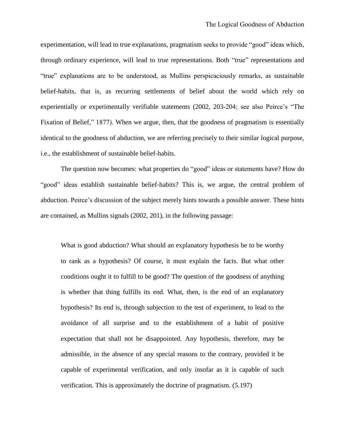experimentation, will lead to true explanations, pragmatism seeks to provide "good" ideas which, through ordinary experience, will lead to true representations. Both "true" representations and "true" explanations are to be understood, as Mullins perspicaciously remarks, as sustainable belief-habits, that is, as recurring settlements of belief about the world which rely on experientially or experimentally verifiable statements (2002, 203-204; see also Peirce's "The Fixation of Belief," 1877). When we argue, then, that the goodness of pragmatism is essentially identical to the goodness of abduction, we are referring precisely to their similar logical purpose, i.e., the establishment of sustainable belief-habits.

The question now becomes: what properties do "good" ideas or statements have? How do "good" ideas establish sustainable belief-habits? This is, we argue, the central problem of abduction. Peirce's discussion of the subject merely hints towards a possible answer. These hints are contained, as Mullins signals (2002, 201), in the following passage:

What is good abduction? What should an explanatory hypothesis be to be worthy to rank as a hypothesis? Of course, it must explain the facts. But what other conditions ought it to fulfill to be good? The question of the goodness of anything is whether that thing fulfills its end. What, then, is the end of an explanatory hypothesis? Its end is, through subjection to the test of experiment, to lead to the avoidance of all surprise and to the establishment of a habit of positive expectation that shall not be disappointed. Any hypothesis, therefore, may be admissible, in the absence of any special reasons to the contrary, provided it be capable of experimental verification, and only insofar as it is capable of such verification. This is approximately the doctrine of pragmatism. (5.197)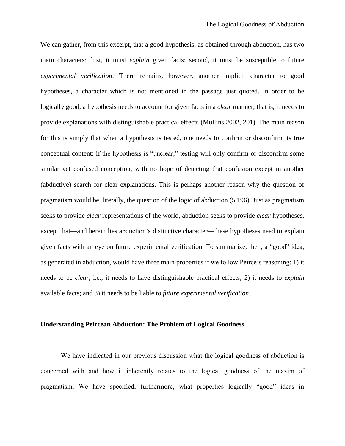We can gather, from this excerpt, that a good hypothesis, as obtained through abduction, has two main characters: first, it must *explain* given facts; second, it must be susceptible to future *experimental verification*. There remains, however, another implicit character to good hypotheses, a character which is not mentioned in the passage just quoted. In order to be logically good, a hypothesis needs to account for given facts in a *clear* manner, that is, it needs to provide explanations with distinguishable practical effects (Mullins 2002, 201). The main reason for this is simply that when a hypothesis is tested, one needs to confirm or disconfirm its true conceptual content: if the hypothesis is "unclear," testing will only confirm or disconfirm some similar yet confused conception, with no hope of detecting that confusion except in another (abductive) search for clear explanations. This is perhaps another reason why the question of pragmatism would be, literally, the question of the logic of abduction (5.196). Just as pragmatism seeks to provide *clear* representations of the world, abduction seeks to provide *clear* hypotheses, except that—and herein lies abduction's distinctive character—these hypotheses need to explain given facts with an eye on future experimental verification. To summarize, then, a "good" idea, as generated in abduction, would have three main properties if we follow Peirce's reasoning: 1) it needs to be *clear*, i.e., it needs to have distinguishable practical effects; 2) it needs to *explain* available facts; and 3) it needs to be liable to *future experimental verification*.

### **Understanding Peircean Abduction: The Problem of Logical Goodness**

We have indicated in our previous discussion what the logical goodness of abduction is concerned with and how it inherently relates to the logical goodness of the maxim of pragmatism. We have specified, furthermore, what properties logically "good" ideas in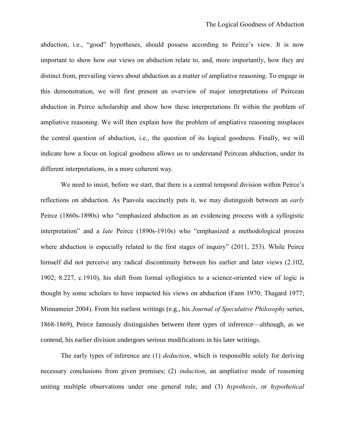abduction, i.e., "good" hypotheses, should possess according to Peirce's view. It is now important to show how our views on abduction relate to, and, more importantly, how they are distinct from, prevailing views about abduction as a matter of ampliative reasoning. To engage in this demonstration, we will first present an overview of major interpretations of Peircean abduction in Peirce scholarship and show how these interpretations fit within the problem of ampliative reasoning. We will then explain how the problem of ampliative reasoning misplaces the central question of abduction, i.e., the question of its logical goodness. Finally, we will indicate how a focus on logical goodness allows us to understand Peircean abduction, under its different interpretations, in a more coherent way.

We need to insist, before we start, that there is a central temporal division within Peirce's reflections on abduction. As Paavola succinctly puts it, we may distinguish between an *early* Peirce (1860s-1890s) who "emphasized abduction as an evidencing process with a syllogistic interpretation" and a *late* Peirce (1890s-1910s) who "emphasized a methodological process where abduction is especially related to the first stages of inquiry" (2011, 253). While Peirce himself did not perceive any radical discontinuity between his earlier and later views (2.102, 1902; 8.227, c.1910), his shift from formal syllogistics to a science-oriented view of logic is thought by some scholars to have impacted his views on abduction (Fann 1970; Thagard 1977; Minnameier 2004). From his earliest writings (e.g., his *Journal of Speculative Philosophy* series, 1868-1869), Peirce famously distinguishes between three types of inference—although, as we contend, his earlier division undergoes serious modifications in his later writings.

The early types of inference are (1) *deduction*, which is responsible solely for deriving necessary conclusions from given premises; (2) *induction*, an ampliative mode of reasoning uniting multiple observations under one general rule; and (3) *hypothesis*, or *hypothetical*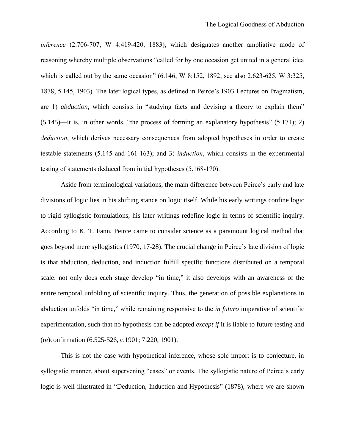*inference* (2.706-707, W 4:419-420, 1883), which designates another ampliative mode of reasoning whereby multiple observations "called for by one occasion get united in a general idea which is called out by the same occasion" (6.146, W 8:152, 1892; see also 2.623-625, W 3:325, 1878; 5.145, 1903). The later logical types, as defined in Peirce's 1903 Lectures on Pragmatism, are 1) *abduction*, which consists in "studying facts and devising a theory to explain them"  $(5.145)$ —it is, in other words, "the process of forming an explanatory hypothesis"  $(5.171)$ ; 2) *deduction*, which derives necessary consequences from adopted hypotheses in order to create testable statements (5.145 and 161-163); and 3) *induction*, which consists in the experimental testing of statements deduced from initial hypotheses (5.168-170).

Aside from terminological variations, the main difference between Peirce's early and late divisions of logic lies in his shifting stance on logic itself. While his early writings confine logic to rigid syllogistic formulations, his later writings redefine logic in terms of scientific inquiry. According to K. T. Fann, Peirce came to consider science as a paramount logical method that goes beyond mere syllogistics (1970, 17-28). The crucial change in Peirce's late division of logic is that abduction, deduction, and induction fulfill specific functions distributed on a temporal scale: not only does each stage develop "in time," it also develops with an awareness of the entire temporal unfolding of scientific inquiry. Thus, the generation of possible explanations in abduction unfolds "in time," while remaining responsive to the *in futuro* imperative of scientific experimentation, such that no hypothesis can be adopted *except if* it is liable to future testing and (re)confirmation (6.525-526, c.1901; 7.220, 1901).

This is not the case with hypothetical inference, whose sole import is to conjecture, in syllogistic manner, about supervening "cases" or events. The syllogistic nature of Peirce's early logic is well illustrated in "Deduction, Induction and Hypothesis" (1878), where we are shown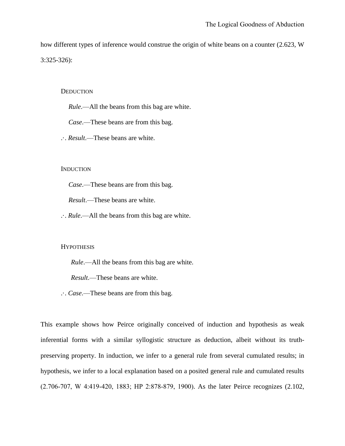how different types of inference would construe the origin of white beans on a counter (2.623, W 3:325-326):

## **DEDUCTION**

*Rule*.—All the beans from this bag are white.

*Case*.—These beans are from this bag.

.·. *Result*.—These beans are white.

# **INDUCTION**

*Case*.—These beans are from this bag.

*Result*.—These beans are white.

.·. *Rule*.—All the beans from this bag are white.

#### **HYPOTHESIS**

*Rule*.—All the beans from this bag are white.

*Result*.—These beans are white.

.·. *Case*.—These beans are from this bag.

This example shows how Peirce originally conceived of induction and hypothesis as weak inferential forms with a similar syllogistic structure as deduction, albeit without its truthpreserving property. In induction, we infer to a general rule from several cumulated results; in hypothesis, we infer to a local explanation based on a posited general rule and cumulated results (2.706-707, W 4:419-420, 1883; HP 2:878-879, 1900). As the later Peirce recognizes (2.102,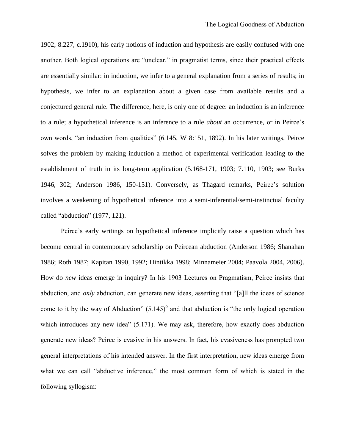1902; 8.227, c.1910), his early notions of induction and hypothesis are easily confused with one another. Both logical operations are "unclear," in pragmatist terms, since their practical effects are essentially similar: in induction, we infer to a general explanation from a series of results; in hypothesis, we infer to an explanation about a given case from available results and a conjectured general rule. The difference, here, is only one of degree: an induction is an inference to a rule; a hypothetical inference is an inference to a rule *about* an occurrence, or in Peirce's own words, "an induction from qualities" (6.145, W 8:151, 1892). In his later writings, Peirce solves the problem by making induction a method of experimental verification leading to the establishment of truth in its long-term application (5.168-171, 1903; 7.110, 1903; see Burks 1946, 302; Anderson 1986, 150-151). Conversely, as Thagard remarks, Peirce's solution involves a weakening of hypothetical inference into a semi-inferential/semi-instinctual faculty called "abduction" (1977, 121).

Peirce's early writings on hypothetical inference implicitly raise a question which has become central in contemporary scholarship on Peircean abduction (Anderson 1986; Shanahan 1986; Roth 1987; Kapitan 1990, 1992; Hintikka 1998; Minnameier 2004; Paavola 2004, 2006). How do *new* ideas emerge in inquiry? In his 1903 Lectures on Pragmatism, Peirce insists that abduction, and *only* abduction, can generate new ideas, asserting that "[a]ll the ideas of science come to it by the way of Abduction"  $(5.145)^9$  and that abduction is "the only logical operation which introduces any new idea" (5.171). We may ask, therefore, how exactly does abduction generate new ideas? Peirce is evasive in his answers. In fact, his evasiveness has prompted two general interpretations of his intended answer. In the first interpretation, new ideas emerge from what we can call "abductive inference," the most common form of which is stated in the following syllogism: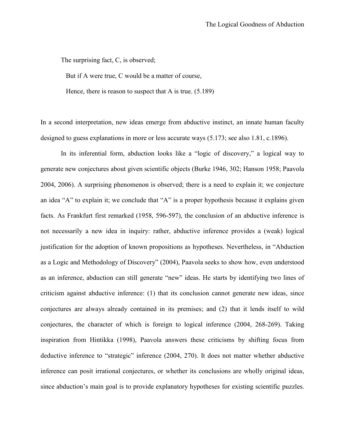The surprising fact, C, is observed;

But if A were true, C would be a matter of course,

Hence, there is reason to suspect that A is true.  $(5.189)$ 

In a second interpretation, new ideas emerge from abductive instinct, an innate human faculty designed to guess explanations in more or less accurate ways (5.173; see also 1.81, c.1896).

In its inferential form, abduction looks like a "logic of discovery," a logical way to generate new conjectures about given scientific objects (Burke 1946, 302; Hanson 1958; Paavola 2004, 2006). A surprising phenomenon is observed; there is a need to explain it; we conjecture an idea "A" to explain it; we conclude that "A" is a proper hypothesis because it explains given facts. As Frankfurt first remarked (1958, 596-597), the conclusion of an abductive inference is not necessarily a new idea in inquiry: rather, abductive inference provides a (weak) logical justification for the adoption of known propositions as hypotheses. Nevertheless, in "Abduction as a Logic and Methodology of Discovery" (2004), Paavola seeks to show how, even understood as an inference, abduction can still generate "new" ideas. He starts by identifying two lines of criticism against abductive inference: (1) that its conclusion cannot generate new ideas, since conjectures are always already contained in its premises; and (2) that it lends itself to wild conjectures, the character of which is foreign to logical inference (2004, 268-269). Taking inspiration from Hintikka (1998), Paavola answers these criticisms by shifting focus from deductive inference to "strategic" inference (2004, 270). It does not matter whether abductive inference can posit irrational conjectures, or whether its conclusions are wholly original ideas, since abduction's main goal is to provide explanatory hypotheses for existing scientific puzzles.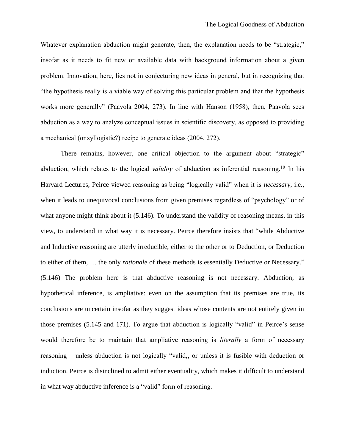Whatever explanation abduction might generate, then, the explanation needs to be "strategic," insofar as it needs to fit new or available data with background information about a given problem. Innovation, here, lies not in conjecturing new ideas in general, but in recognizing that "the hypothesis really is a viable way of solving this particular problem and that the hypothesis works more generally" (Paavola 2004, 273). In line with Hanson (1958), then, Paavola sees abduction as a way to analyze conceptual issues in scientific discovery, as opposed to providing a mechanical (or syllogistic?) recipe to generate ideas (2004, 272).

There remains, however, one critical objection to the argument about "strategic" abduction, which relates to the logical *validity* of abduction as inferential reasoning. <sup>10</sup> In his Harvard Lectures, Peirce viewed reasoning as being "logically valid" when it is *necessary*, i.e., when it leads to unequivocal conclusions from given premises regardless of "psychology" or of what anyone might think about it (5.146). To understand the validity of reasoning means, in this view, to understand in what way it is necessary. Peirce therefore insists that "while Abductive and Inductive reasoning are utterly irreducible, either to the other or to Deduction, or Deduction to either of them, … the only *rationale* of these methods is essentially Deductive or Necessary." (5.146) The problem here is that abductive reasoning is not necessary. Abduction, as hypothetical inference, is ampliative: even on the assumption that its premises are true, its conclusions are uncertain insofar as they suggest ideas whose contents are not entirely given in those premises (5.145 and 171). To argue that abduction is logically "valid" in Peirce's sense would therefore be to maintain that ampliative reasoning is *literally* a form of necessary reasoning – unless abduction is not logically "valid,, or unless it is fusible with deduction or induction. Peirce is disinclined to admit either eventuality, which makes it difficult to understand in what way abductive inference is a "valid" form of reasoning.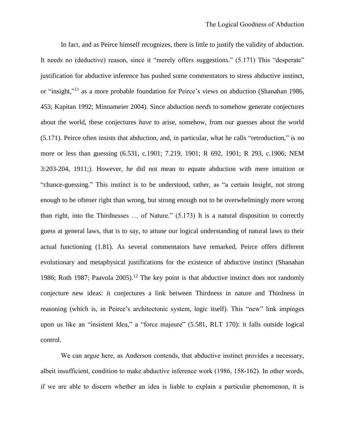In fact, and as Peirce himself recognizes, there is little to justify the validity of abduction. It needs no (deductive) reason, since it "merely offers suggestions." (5.171) This "desperate" justification for abductive inference has pushed some commentators to stress abductive instinct, or "insight,"<sup>11</sup> as a more probable foundation for Peirce's views on abduction (Shanahan 1986, 453; Kapitan 1992; Minnameier 2004). Since abduction *needs* to somehow generate conjectures about the world, these conjectures *have* to arise, somehow, from our guesses about the world (5.171). Peirce often insists that abduction, and, in particular, what he calls "retroduction," is no more or less than guessing (6.531, c.1901; 7.219, 1901; R 692, 1901; R 293, c.1906; NEM 3:203-204, 1911;). However, he did not mean to equate abduction with mere intuition or "chance-guessing." This instinct is to be understood, rather, as "a certain Insight, not strong enough to be oftener right than wrong, but strong enough not to be overwhelmingly more wrong than right, into the Thirdnesses … of Nature." (5.173) It is a natural disposition to correctly guess at general laws, that is to say, to attune our logical understanding of natural laws to their actual functioning (1.81). As several commentators have remarked, Peirce offers different evolutionary and metaphysical justifications for the existence of abductive instinct (Shanahan 1986; Roth 1987; Paavola 2005).<sup>12</sup> The key point is that abductive instinct does not randomly conjecture new ideas: it conjectures a link between Thirdness in nature and Thirdness in reasoning (which is, in Peirce's architectonic system, logic itself). This "new" link impinges upon us like an "insistent Idea," a "force majeure" (5.581, RLT 170): it falls outside logical control.

We can argue here, as Anderson contends, that abductive instinct provides a necessary, albeit insufficient, condition to make abductive inference work (1986, 158-162). In other words, if we are able to discern whether an idea is liable to explain a particular phenomenon, it is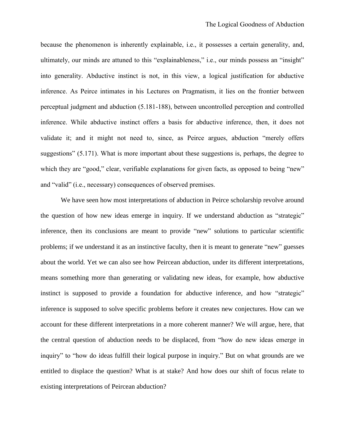because the phenomenon is inherently explainable, i.e., it possesses a certain generality, and, ultimately, our minds are attuned to this "explainableness," i.e., our minds possess an "insight" into generality. Abductive instinct is not, in this view, a logical justification for abductive inference. As Peirce intimates in his Lectures on Pragmatism, it lies on the frontier between perceptual judgment and abduction (5.181-188), between uncontrolled perception and controlled inference. While abductive instinct offers a basis for abductive inference, then, it does not validate it; and it might not need to, since, as Peirce argues, abduction "merely offers suggestions" (5.171). What is more important about these suggestions is, perhaps, the degree to which they are "good," clear, verifiable explanations for given facts, as opposed to being "new" and "valid" (i.e., necessary) consequences of observed premises.

We have seen how most interpretations of abduction in Peirce scholarship revolve around the question of how new ideas emerge in inquiry. If we understand abduction as "strategic" inference, then its conclusions are meant to provide "new" solutions to particular scientific problems; if we understand it as an instinctive faculty, then it is meant to generate "new" guesses about the world. Yet we can also see how Peircean abduction, under its different interpretations, means something more than generating or validating new ideas, for example, how abductive instinct is supposed to provide a foundation for abductive inference, and how "strategic" inference is supposed to solve specific problems before it creates new conjectures. How can we account for these different interpretations in a more coherent manner? We will argue, here, that the central question of abduction needs to be displaced, from "how do new ideas emerge in inquiry" to "how do ideas fulfill their logical purpose in inquiry." But on what grounds are we entitled to displace the question? What is at stake? And how does our shift of focus relate to existing interpretations of Peircean abduction?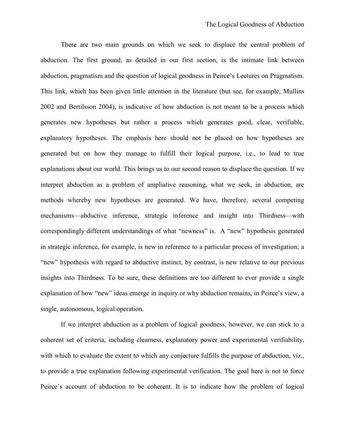There are two main grounds on which we seek to displace the central problem of abduction. The first ground, as detailed in our first section, is the intimate link between abduction, pragmatism and the question of logical goodness in Peirce's Lectures on Pragmatism. This link, which has been given little attention in the literature (but see, for example, Mullins 2002 and Bertilsson 2004), is indicative of how abduction is not meant to be a process which generates new hypotheses but rather a process which generates good, clear, verifiable, explanatory hypotheses. The emphasis here should not be placed on how hypotheses are generated but on how they manage to fulfill their logical purpose, i.e., to lead to true explanations about our world. This brings us to our second reason to displace the question. If we interpret abduction as a problem of ampliative reasoning, what we seek, in abduction, are methods whereby new hypotheses are generated. We have, therefore, several competing mechanisms—abductive inference, strategic inference and insight into Thirdness—with correspondingly different understandings of what "newness" is. A "new" hypothesis generated in strategic inference, for example, is new in reference to a particular process of investigation; a "new" hypothesis with regard to abductive instinct, by contrast, is new relative to our previous insights into Thirdness. To be sure, these definitions are too different to ever provide a single explanation of how "new" ideas emerge in inquiry or why abduction remains, in Peirce's view, a single, autonomous, logical operation.

If we interpret abduction as a problem of logical goodness, however, we can stick to a coherent set of criteria, including clearness, explanatory power and experimental verifiability, with which to evaluate the extent to which any conjecture fulfills the purpose of abduction, viz., to provide a true explanation following experimental verification. The goal here is not to force Peirce's account of abduction to be coherent. It is to indicate how the problem of logical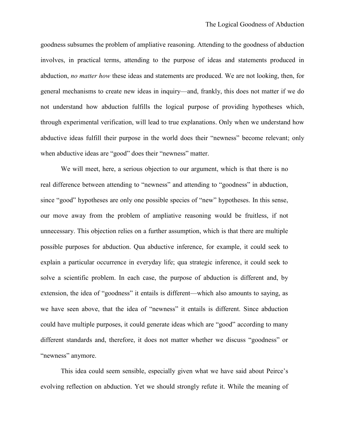goodness subsumes the problem of ampliative reasoning. Attending to the goodness of abduction involves, in practical terms, attending to the purpose of ideas and statements produced in abduction, *no matter how* these ideas and statements are produced. We are not looking, then, for general mechanisms to create new ideas in inquiry—and, frankly, this does not matter if we do not understand how abduction fulfills the logical purpose of providing hypotheses which, through experimental verification, will lead to true explanations. Only when we understand how abductive ideas fulfill their purpose in the world does their "newness" become relevant; only when abductive ideas are "good" does their "newness" matter.

We will meet, here, a serious objection to our argument, which is that there is no real difference between attending to "newness" and attending to "goodness" in abduction, since "good" hypotheses are only one possible species of "new" hypotheses. In this sense, our move away from the problem of ampliative reasoning would be fruitless, if not unnecessary. This objection relies on a further assumption, which is that there are multiple possible purposes for abduction. Qua abductive inference, for example, it could seek to explain a particular occurrence in everyday life; qua strategic inference, it could seek to solve a scientific problem. In each case, the purpose of abduction is different and, by extension, the idea of "goodness" it entails is different—which also amounts to saying, as we have seen above, that the idea of "newness" it entails is different. Since abduction could have multiple purposes, it could generate ideas which are "good" according to many different standards and, therefore, it does not matter whether we discuss "goodness" or "newness" anymore.

This idea could seem sensible, especially given what we have said about Peirce's evolving reflection on abduction. Yet we should strongly refute it. While the meaning of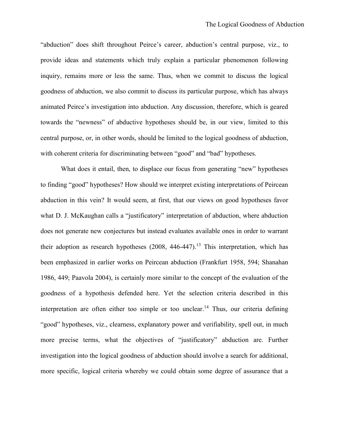"abduction" does shift throughout Peirce's career, abduction's central purpose, viz., to provide ideas and statements which truly explain a particular phenomenon following inquiry, remains more or less the same. Thus, when we commit to discuss the logical goodness of abduction, we also commit to discuss its particular purpose, which has always animated Peirce's investigation into abduction. Any discussion, therefore, which is geared towards the "newness" of abductive hypotheses should be, in our view, limited to this central purpose, or, in other words, should be limited to the logical goodness of abduction, with coherent criteria for discriminating between "good" and "bad" hypotheses.

What does it entail, then, to displace our focus from generating "new" hypotheses to finding "good" hypotheses? How should we interpret existing interpretations of Peircean abduction in this vein? It would seem, at first, that our views on good hypotheses favor what D. J. McKaughan calls a "justificatory" interpretation of abduction, where abduction does not generate new conjectures but instead evaluates available ones in order to warrant their adoption as research hypotheses  $(2008, 446-447)$ .<sup>13</sup> This interpretation, which has been emphasized in earlier works on Peircean abduction (Frankfurt 1958, 594; Shanahan 1986, 449; Paavola 2004), is certainly more similar to the concept of the evaluation of the goodness of a hypothesis defended here. Yet the selection criteria described in this interpretation are often either too simple or too unclear. <sup>14</sup> Thus, our criteria defining "good" hypotheses, viz., clearness, explanatory power and verifiability, spell out, in much more precise terms, what the objectives of "justificatory" abduction are. Further investigation into the logical goodness of abduction should involve a search for additional, more specific, logical criteria whereby we could obtain some degree of assurance that a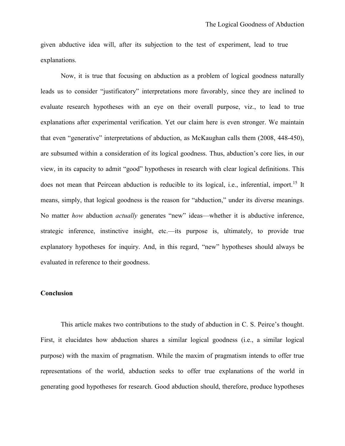given abductive idea will, after its subjection to the test of experiment, lead to true explanations.

Now, it is true that focusing on abduction as a problem of logical goodness naturally leads us to consider "justificatory" interpretations more favorably, since they are inclined to evaluate research hypotheses with an eye on their overall purpose, viz., to lead to true explanations after experimental verification. Yet our claim here is even stronger. We maintain that even "generative" interpretations of abduction, as McKaughan calls them (2008, 448-450), are subsumed within a consideration of its logical goodness. Thus, abduction's core lies, in our view, in its capacity to admit "good" hypotheses in research with clear logical definitions. This does not mean that Peircean abduction is reducible to its logical, i.e., inferential, import.<sup>15</sup> It means, simply, that logical goodness is the reason for "abduction," under its diverse meanings. No matter *how* abduction *actually* generates "new" ideas—whether it is abductive inference, strategic inference, instinctive insight, etc.—its purpose is, ultimately, to provide true explanatory hypotheses for inquiry. And, in this regard, "new" hypotheses should always be evaluated in reference to their goodness.

# **Conclusion**

This article makes two contributions to the study of abduction in C. S. Peirce's thought. First, it elucidates how abduction shares a similar logical goodness (i.e., a similar logical purpose) with the maxim of pragmatism. While the maxim of pragmatism intends to offer true representations of the world, abduction seeks to offer true explanations of the world in generating good hypotheses for research. Good abduction should, therefore, produce hypotheses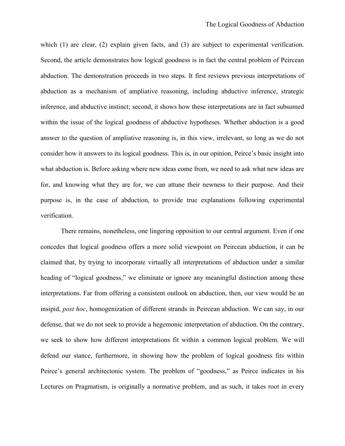which (1) are clear, (2) explain given facts, and (3) are subject to experimental verification. Second, the article demonstrates how logical goodness is in fact the central problem of Peircean abduction. The demonstration proceeds in two steps. It first reviews previous interpretations of abduction as a mechanism of ampliative reasoning, including abductive inference, strategic inference, and abductive instinct; second, it shows how these interpretations are in fact subsumed within the issue of the logical goodness of abductive hypotheses. Whether abduction is a good answer to the question of ampliative reasoning is, in this view, irrelevant, so long as we do not consider how it answers to its logical goodness. This is, in our opinion, Peirce's basic insight into what abduction is. Before asking where new ideas come from, we need to ask what new ideas are for, and knowing what they are for, we can attune their newness to their purpose. And their purpose is, in the case of abduction, to provide true explanations following experimental verification.

There remains, nonetheless, one lingering opposition to our central argument. Even if one concedes that logical goodness offers a more solid viewpoint on Peircean abduction, it can be claimed that, by trying to incorporate virtually all interpretations of abduction under a similar heading of "logical goodness," we eliminate or ignore any meaningful distinction among these interpretations. Far from offering a consistent outlook on abduction, then, our view would be an insipid, *post hoc*, homogenization of different strands in Peircean abduction. We can say, in our defense, that we do not seek to provide a hegemonic interpretation of abduction. On the contrary, we seek to show how different interpretations fit within a common logical problem. We will defend our stance, furthermore, in showing how the problem of logical goodness fits within Peirce's general architectonic system. The problem of "goodness," as Peirce indicates in his Lectures on Pragmatism, is originally a normative problem, and as such, it takes root in every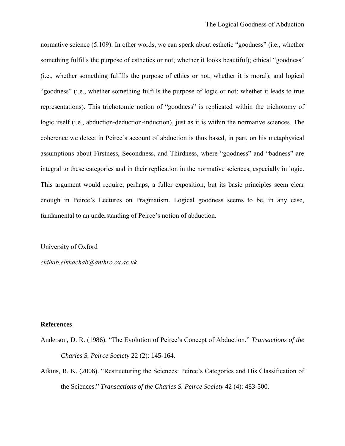normative science (5.109). In other words, we can speak about esthetic "goodness" (i.e., whether something fulfills the purpose of esthetics or not; whether it looks beautiful); ethical "goodness" (i.e., whether something fulfills the purpose of ethics or not; whether it is moral); and logical "goodness" (i.e., whether something fulfills the purpose of logic or not; whether it leads to true representations). This trichotomic notion of "goodness" is replicated within the trichotomy of logic itself (i.e., abduction-deduction-induction), just as it is within the normative sciences. The coherence we detect in Peirce's account of abduction is thus based, in part, on his metaphysical assumptions about Firstness, Secondness, and Thirdness, where "goodness" and "badness" are integral to these categories and in their replication in the normative sciences, especially in logic. This argument would require, perhaps, a fuller exposition, but its basic principles seem clear enough in Peirce's Lectures on Pragmatism. Logical goodness seems to be, in any case, fundamental to an understanding of Peirce's notion of abduction.

University of Oxford

*chihab.elkhachab@anthro.ox.ac.uk*

#### **References**

- Anderson, D. R. (1986). "The Evolution of Peirce's Concept of Abduction." *Transactions of the Charles S. Peirce Society* 22 (2): 145-164.
- Atkins, R. K. (2006). "Restructuring the Sciences: Peirce's Categories and His Classification of the Sciences." *Transactions of the Charles S. Peirce Society* 42 (4): 483-500.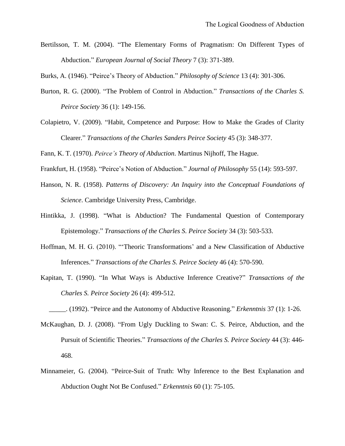Bertilsson, T. M. (2004). "The Elementary Forms of Pragmatism: On Different Types of Abduction." *European Journal of Social Theory* 7 (3): 371-389.

Burks, A. (1946). "Peirce's Theory of Abduction." *Philosophy of Science* 13 (4): 301-306.

- Burton, R. G. (2000). "The Problem of Control in Abduction." *Transactions of the Charles S. Peirce Society* 36 (1): 149-156.
- Colapietro, V. (2009). "Habit, Competence and Purpose: How to Make the Grades of Clarity Clearer." *Transactions of the Charles Sanders Peirce Society* 45 (3): 348-377.

Fann, K. T. (1970). *Peirce's Theory of Abduction*. Martinus Nijhoff, The Hague.

- Frankfurt, H. (1958). "Peirce's Notion of Abduction." *Journal of Philosophy* 55 (14): 593-597.
- Hanson, N. R. (1958). *Patterns of Discovery: An Inquiry into the Conceptual Foundations of Science*. Cambridge University Press, Cambridge.
- Hintikka, J. (1998). "What is Abduction? The Fundamental Question of Contemporary Epistemology." *Transactions of the Charles S. Peirce Society* 34 (3): 503-533.
- Hoffman, M. H. G. (2010). "'Theoric Transformations' and a New Classification of Abductive Inferences." *Transactions of the Charles S. Peirce Society* 46 (4): 570-590.
- Kapitan, T. (1990). "In What Ways is Abductive Inference Creative?" *Transactions of the Charles S. Peirce Society* 26 (4): 499-512.

\_\_\_\_\_. (1992). "Peirce and the Autonomy of Abductive Reasoning." *Erkenntnis* 37 (1): 1-26.

- McKaughan, D. J. (2008). "From Ugly Duckling to Swan: C. S. Peirce, Abduction, and the Pursuit of Scientific Theories." *Transactions of the Charles S. Peirce Society* 44 (3): 446- 468.
- Minnameier, G. (2004). "Peirce-Suit of Truth: Why Inference to the Best Explanation and Abduction Ought Not Be Confused." *Erkenntnis* 60 (1): 75-105.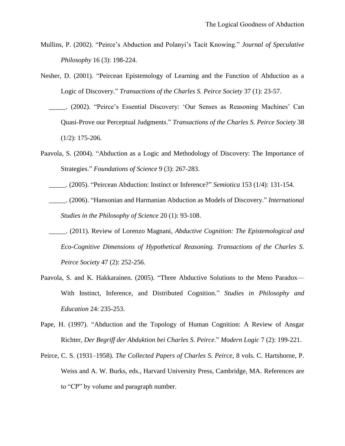- Mullins, P. (2002). "Peirce's Abduction and Polanyi's Tacit Knowing." *Journal of Speculative Philosophy* 16 (3): 198-224.
- Nesher, D. (2001). "Peircean Epistemology of Learning and the Function of Abduction as a Logic of Discovery." *Transactions of the Charles S. Peirce Society* 37 (1): 23-57.
	- \_\_\_\_\_. (2002). "Peirce's Essential Discovery: 'Our Senses as Reasoning Machines' Can Quasi-Prove our Perceptual Judgments." *Transactions of the Charles S. Peirce Society* 38  $(1/2): 175-206.$
- Paavola, S. (2004). "Abduction as a Logic and Methodology of Discovery: The Importance of Strategies." *Foundations of Science* 9 (3): 267-283.
	- \_\_\_\_\_. (2005). "Peircean Abduction: Instinct or Inference?" *Semiotica* 153 (1/4): 131-154.
	- \_\_\_\_\_. (2006). "Hansonian and Harmanian Abduction as Models of Discovery." *International Studies in the Philosophy of Science* 20 (1): 93-108.
	- \_\_\_\_\_. (2011). Review of Lorenzo Magnani, *Abductive Cognition: The Epistemological and Eco-Cognitive Dimensions of Hypothetical Reasoning. Transactions of the Charles S. Peirce Society* 47 (2): 252-256.
- Paavola, S. and K. Hakkarainen. (2005). "Three Abductive Solutions to the Meno Paradox— With Instinct, Inference, and Distributed Cognition." *Studies in Philosophy and Education* 24: 235-253.
- Pape, H. (1997). "Abduction and the Topology of Human Cognition: A Review of Ansgar Richter, *Der Begriff der Abduktion bei Charles S. Peirce*." *Modern Logic* 7 (2): 199-221.
- Peirce, C. S. (1931–1958). *The Collected Papers of Charles S. Peirce*, 8 vols. C. Hartshorne, P. Weiss and A. W. Burks, eds., Harvard University Press, Cambridge, MA. References are to "CP" by volume and paragraph number.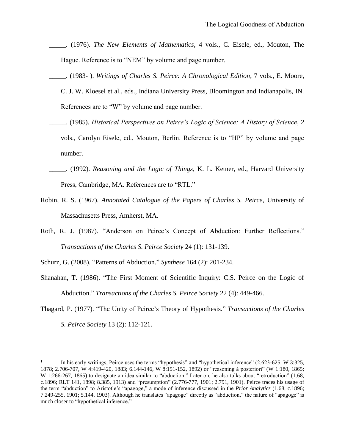- \_\_\_\_\_. (1976). *The New Elements of Mathematics*, 4 vols., C. Eisele, ed., Mouton, The Hague. Reference is to "NEM" by volume and page number.
- \_\_\_\_\_. (1983- ). *Writings of Charles S. Peirce: A Chronological Edition*, 7 vols., E. Moore, C. J. W. Kloesel et al., eds., Indiana University Press, Bloomington and Indianapolis, IN. References are to "W" by volume and page number.
- \_\_\_\_\_. (1985). *Historical Perspectives on Peirce's Logic of Science: A History of Science*, 2 vols., Carolyn Eisele, ed., Mouton, Berlin. Reference is to "HP" by volume and page number.
- \_\_\_\_\_. (1992). *Reasoning and the Logic of Things*, K. L. Ketner, ed., Harvard University Press, Cambridge, MA. References are to "RTL."
- Robin, R. S. (1967). *Annotated Catalogue of the Papers of Charles S. Peirce*, University of Massachusetts Press, Amherst, MA.
- Roth, R. J. (1987). "Anderson on Peirce's Concept of Abduction: Further Reflections." *Transactions of the Charles S. Peirce Society* 24 (1): 131-139.
- Schurz, G. (2008). "Patterns of Abduction." *Synthese* 164 (2): 201-234.

 $\overline{a}$ 

- Shanahan, T. (1986). "The First Moment of Scientific Inquiry: C.S. Peirce on the Logic of Abduction." *Transactions of the Charles S. Peirce Society* 22 (4): 449-466.
- Thagard, P. (1977). "The Unity of Peirce's Theory of Hypothesis." *Transactions of the Charles S. Peirce Society* 13 (2): 112-121.

<sup>1</sup> In his early writings, Peirce uses the terms "hypothesis" and "hypothetical inference" (2.623-625, W 3:325, 1878; 2.706-707, W 4:419-420, 1883; 6.144-146, W 8:151-152, 1892) or "reasoning à posteriori" (W 1:180, 1865; W 1:266-267, 1865) to designate an idea similar to "abduction." Later on, he also talks about "retroduction" (1.68, c.1896; RLT 141, 1898; 8.385, 1913) and "presumption" (2.776-777, 1901; 2.791, 1901). Peirce traces his usage of the term "abduction" to Aristotle's "apagoge," a mode of inference discussed in the *Prior Analytics* (1.68, c.1896; 7.249-255, 1901; 5.144, 1903). Although he translates "apagoge" directly as "abduction," the nature of "apagoge" is much closer to "hypothetical inference."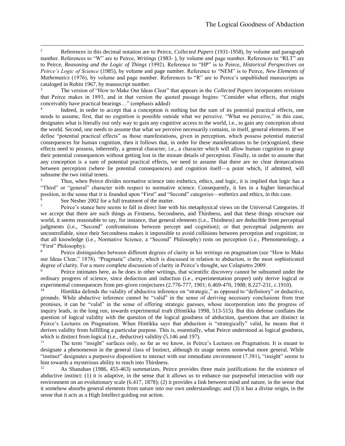$\overline{a}$ <sup>2</sup> References in this decimal notation are to Peirce, *Collected Papers* (1931-1958), by volume and paragraph number. References to "W" are to Peirce, *Writings* (1983- ), by volume and page number. References to "RLT" are to Peirce, *Reasoning and the Logic of Things* (1992). Reference to "HP" is to Peirce, *Historical Perspectives on Peirce's Logic of Science* (1985), by volume and page number. Reference to "NEM" is to Peirce, *New Elements of Mathematics* (1976), by volume and page number. References to "R" are to Peirce's unpublished manuscripts as cataloged in Robin 1967, by manuscript number.

<sup>3</sup> The version of "How to Make Our Ideas Clear" that appears in the *Collected Papers* incorporates revisions that Peirce makes in 1893, and in that version the quoted passage begins: "Consider what effects, *that* might conceivably have practical bearings…" (emphasis added)

4 Indeed, in order to accept that a conception is nothing but the sum of its potential practical effects, one needs to assume, first, that no cognition is possible outside what we perceive. "What we perceive," in this case, designates what is literally our only way to gain any cognitive access to the world, i.e., to gain any conception about the world. Second, one needs to assume that what we perceive necessarily contains, in itself, general elements. If we define "potential practical effects" as those manifestations, given in perception, which possess potential material consequences for human cognition, then it follows that, in order for these manifestations to be (re)cognized, these effects need to possess, inherently, a general character, i.e., a character which will allow human cognition to grasp their potential consequences without getting lost in the minute details of perception. Finally, in order to assume that any conception is a sum of potential practical effects, we need to assume that there are no clear demarcations between perception (where lie potential consequences) and cognition itself—a point which, if admitted, will subsume the two initial tenets.

Thus, when Peirce divides normative science into esthetics, ethics, and logic, it is implied that logic has a "Third" or "general" character with respect to normative science. Consequently, it lies in a higher hierarchical position, in the sense that it is founded upon "First" and "Second" categories—esthetics and ethics, in this case.

<sup>6</sup> See Nesher 2002 for a full treatment of the matter.<br> $\frac{7}{4}$ 

Peirce's stance here seems to fall in direct line with his metaphysical views on the Universal Categories. If we accept that there are such things as Firstness, Secondness, and Thirdness, and that these things structure our world, it seems reasonable to say, for instance, that general elements (i.e., Thirdness) are deducible from perceptual judgments (i.e., "Second" confrontations between percept and cognition); or that perceptual judgments are uncontrollable, since their Secondness makes it impossible to avoid collisions between perception and cognition; or that all knowledge (i.e., Normative Science, a "Second" Philosophy) rests on perception (i.e., Phenomenology, a "First" Philosophy).

<sup>8</sup> Peirce distinguishes between different degrees of clarity in his writings on pragmatism (see "How to Make our Ideas Clear," 1878). "Pragmatic" clarity, which is discussed in relation to abduction, is the most sophisticated degree of clarity. For a more complete discussion of clarity in Peirce's thought, see Colapietro 2009.

<sup>9</sup> Peirce intimates here, as he does in other writings, that scientific discovery cannot be subsumed under the ordinary progress of science, since deduction and induction (i.e., experimentation proper) only derive logical or experimental consequences from pre-given conjectures (2.776-777, 1901; 6.469-470, 1908; 8.227-231, c.1910).

Hintikka defends the validity of abductive inference on "strategic," as opposed to "definitory" or deductive, grounds. While abductive inference cannot be "valid" in the sense of deriving necessary conclusions from true premises, it can be "valid" in the sense of offering strategic guesses, whose incorporation into the progress of inquiry leads, in the long run, towards experimental truth (Hintikka 1998, 513-515). But this defense conflates the question of logical validity with the question of the logical goodness of abduction, questions that are distinct in Peirce's Lectures on Pragmatism. When Hintikka says that abduction is "strategically" valid, he means that it derives validity from fulfilling a particular purpose. This is, essentially, what Peirce understood as logical goodness, which is distinct from logical (i.e., deductive) validity (5.146 and 197).

<sup>11</sup> The term "insight" surfaces only, so far as we know, in Peirce's Lectures on Pragmatism. It is meant to designate a phenomenon in the general class of Instinct, although its usage seems somewhat more general. While "instinct" designates a purposive disposition to interact with our immediate environment (7.381), "insight" seems to hint towards a mysterious ability to reach into Thirdness.

<sup>12</sup> As Shanahan (1986, 455-463) summarizes, Peirce provides three main justifications for the existence of abductive instinct: (1) it is adaptive, in the sense that it allows us to enhance our purposeful interaction with our environment on an evolutionary scale (6.417, 1878); (2) it provides a link between mind and nature, in the sense that it somehow absorbs general elements from nature into our own understandings; and (3) it has a divine origin, in the sense that it acts as a High Intellect guiding our action.